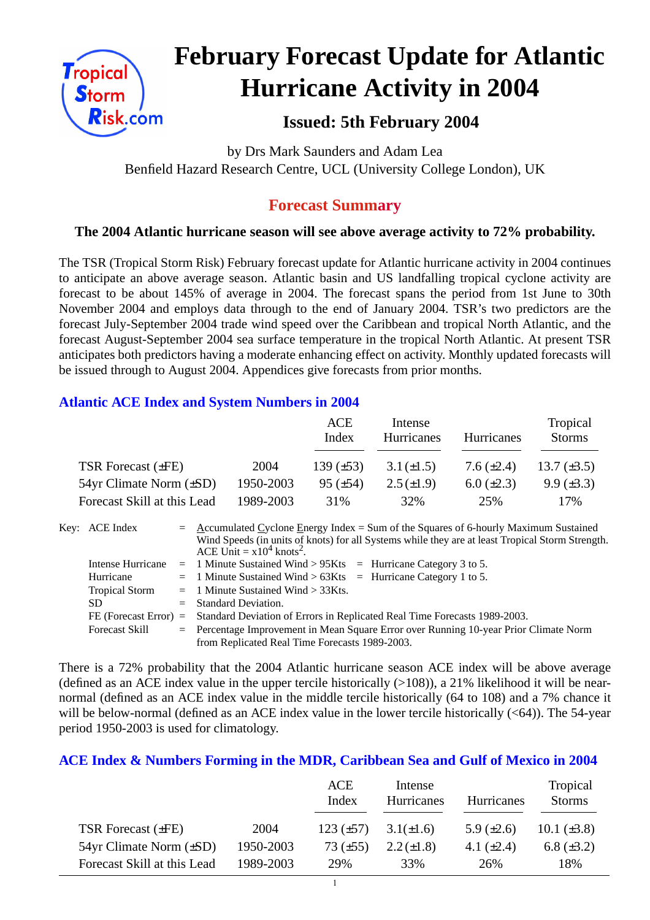

# **February Forecast Update for Atlantic Hurricane Activity in 2004**

# **Issued: 5th February 2004**

by Drs Mark Saunders and Adam Lea Benfield Hazard Research Centre, UCL (University College London), UK

# **Forecast Summary**

# **The 2004 Atlantic hurricane season will see above average activity to 72% probability.**

The TSR (Tropical Storm Risk) February forecast update for Atlantic hurricane activity in 2004 continues to anticipate an above average season. Atlantic basin and US landfalling tropical cyclone activity are forecast to be about 145% of average in 2004. The forecast spans the period from 1st June to 30th November 2004 and employs data through to the end of January 2004. TSR's two predictors are the forecast July-September 2004 trade wind speed over the Caribbean and tropical North Atlantic, and the forecast August-September 2004 sea surface temperature in the tropical North Atlantic. At present TSR anticipates both predictors having a moderate enhancing effect on activity. Monthly updated forecasts will be issued through to August 2004. Appendices give forecasts from prior months.

## **Atlantic ACE Index and System Numbers in 2004**

|                                |           | ACE<br>Index    | Intense<br><b>Hurricanes</b> | <b>Hurricanes</b> | Tropical<br><b>Storms</b> |
|--------------------------------|-----------|-----------------|------------------------------|-------------------|---------------------------|
| TSR Forecast $(\pm FE)$        | 2004      | 139 $(\pm 53)$  | $3.1 (\pm 1.5)$              | 7.6 $(\pm 2.4)$   | 13.7 $(\pm 3.5)$          |
| $54yr$ Climate Norm $(\pm SD)$ | 1950-2003 | $95 \ (\pm 54)$ | $2.5(\pm 1.9)$               | $6.0 \ (\pm 2.3)$ | $9.9 \ (\pm 3.3)$         |
| Forecast Skill at this Lead    | 1989-2003 | 31%             | 32%                          | 25%               | 17%                       |

| Key: ACE Index        | $=$ Accumulated Cyclone Energy Index = Sum of the Squares of 6-hourly Maximum Sustained          |
|-----------------------|--------------------------------------------------------------------------------------------------|
|                       | Wind Speeds (in units of knots) for all Systems while they are at least Tropical Storm Strength. |
|                       | ACE Unit = $x10^4$ knots <sup>2</sup> .                                                          |
| Intense Hurricane     | $=$ 1 Minute Sustained Wind > 95Kts $=$ Hurricane Category 3 to 5.                               |
| Hurricane             | $=$ 1 Minute Sustained Wind > 63Kts $=$ Hurricane Category 1 to 5.                               |
| <b>Tropical Storm</b> | $=$ 1 Minute Sustained Wind $>$ 33Kts.                                                           |
| SD.                   | $=$ Standard Deviation.                                                                          |
|                       | FE (Forecast Error) = Standard Deviation of Errors in Replicated Real Time Forecasts 1989-2003.  |
| <b>Forecast Skill</b> | = Percentage Improvement in Mean Square Error over Running 10-year Prior Climate Norm            |
|                       | from Replicated Real Time Forecasts 1989-2003.                                                   |

There is a 72% probability that the 2004 Atlantic hurricane season ACE index will be above average (defined as an ACE index value in the upper tercile historically  $(>108)$ ), a 21% likelihood it will be nearnormal (defined as an ACE index value in the middle tercile historically (64 to 108) and a 7% chance it will be below-normal (defined as an ACE index value in the lower tercile historically (<64)). The 54-year period 1950-2003 is used for climatology.

## **ACE Index & Numbers Forming in the MDR, Caribbean Sea and Gulf of Mexico in 2004**

|                                |           | ACE<br>Index   | Intense<br>Hurricanes | Hurricanes      | Tropical<br><b>Storms</b> |
|--------------------------------|-----------|----------------|-----------------------|-----------------|---------------------------|
| TSR Forecast $(\pm FE)$        | 2004      | $123 (\pm 57)$ | $3.1(\pm 1.6)$        | 5.9 $(\pm 2.6)$ | 10.1 $(\pm 3.8)$          |
| $54yr$ Climate Norm $(\pm SD)$ | 1950-2003 | 73 $(\pm 55)$  | $2.2 (\pm 1.8)$       | 4.1 $(\pm 2.4)$ | 6.8 $(\pm 3.2)$           |
| Forecast Skill at this Lead    | 1989-2003 | 29%            | 33%                   | 26%             | 18%                       |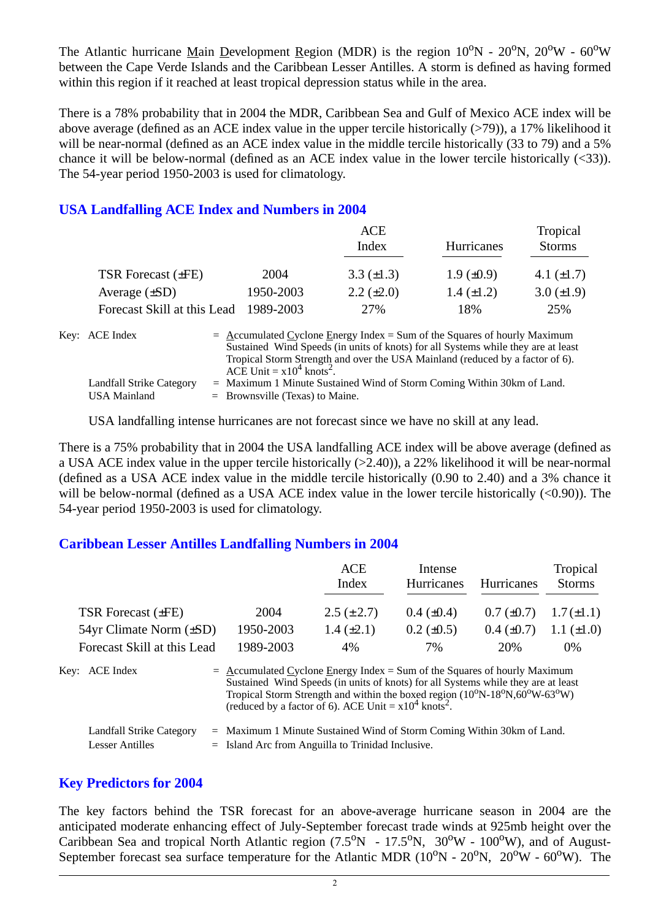The Atlantic hurricane Main Development Region (MDR) is the region  $10^{\circ}N - 20^{\circ}N$ ,  $20^{\circ}W - 60^{\circ}W$ between the Cape Verde Islands and the Caribbean Lesser Antilles. A storm is defined as having formed within this region if it reached at least tropical depression status while in the area.

There is a 78% probability that in 2004 the MDR, Caribbean Sea and Gulf of Mexico ACE index will be above average (defined as an ACE index value in the upper tercile historically  $(>79)$ ), a 17% likelihood it will be near-normal (defined as an ACE index value in the middle tercile historically (33 to 79) and a 5% chance it will be below-normal (defined as an ACE index value in the lower tercile historically (<33)). The 54-year period 1950-2003 is used for climatology.

## **USA Landfalling ACE Index and Numbers in 2004**

|                             |           | ACE                                                                                                                                                                                                                                               |                   | Tropical        |
|-----------------------------|-----------|---------------------------------------------------------------------------------------------------------------------------------------------------------------------------------------------------------------------------------------------------|-------------------|-----------------|
|                             |           | Index                                                                                                                                                                                                                                             | Hurricanes        | <b>Storms</b>   |
| TSR Forecast $(\pm FE)$     | 2004      | 3.3 $(\pm 1.3)$                                                                                                                                                                                                                                   | $1.9 \ (\pm 0.9)$ | 4.1 $(\pm 1.7)$ |
| Average $(\pm SD)$          | 1950-2003 | $2.2 \ (\pm 2.0)$                                                                                                                                                                                                                                 | $1.4 \ (\pm 1.2)$ | $3.0 (\pm 1.9)$ |
| Forecast Skill at this Lead | 1989-2003 | 27%                                                                                                                                                                                                                                               | 18%               | 25%             |
| Key: ACE Index              |           | $=$ Accumulated Cyclone Energy Index = Sum of the Squares of hourly Maximum<br>Sustained Wind Speeds (in units of knots) for all Systems while they are at least<br>Tropical Storm Strength and over the USA Mainland (reduced by a factor of 6). |                   |                 |

ACE Unit  $= x10^4$  knots<sup>2</sup>. Landfall Strike Category = Maximum 1 Minute Sustained Wind of Storm Coming Within 30km of Land. USA Mainland  $=$  Brownsville (Texas) to Maine.

USA landfalling intense hurricanes are not forecast since we have no skill at any lead.

There is a 75% probability that in 2004 the USA landfalling ACE index will be above average (defined as a USA ACE index value in the upper tercile historically (>2.40)), a 22% likelihood it will be near-normal (defined as a USA ACE index value in the middle tercile historically (0.90 to 2.40) and a 3% chance it will be below-normal (defined as a USA ACE index value in the lower tercile historically  $(<0.90$ )). The 54-year period 1950-2003 is used for climatology.

#### **Caribbean Lesser Antilles Landfalling Numbers in 2004**

|                                |                                                                             | <b>ACE</b>                                                                                                                                                                                                                                                          | Intense           |                   | Tropical        |
|--------------------------------|-----------------------------------------------------------------------------|---------------------------------------------------------------------------------------------------------------------------------------------------------------------------------------------------------------------------------------------------------------------|-------------------|-------------------|-----------------|
|                                |                                                                             | Index                                                                                                                                                                                                                                                               | Hurricanes        | <b>Hurricanes</b> | <b>Storms</b>   |
| TSR Forecast $(\pm FE)$        | 2004                                                                        | $2.5 (\pm 2.7)$                                                                                                                                                                                                                                                     | $0.4~(\pm 0.4)$   | $0.7 (\pm 0.7)$   | $1.7(\pm 1.1)$  |
| $54yr$ Climate Norm $(\pm SD)$ | 1950-2003                                                                   | $1.4 (\pm 2.1)$                                                                                                                                                                                                                                                     | $0.2 \ (\pm 0.5)$ | $0.4~(\pm 0.7)$   | 1.1 $(\pm 1.0)$ |
| Forecast Skill at this Lead    | 1989-2003                                                                   | 4%                                                                                                                                                                                                                                                                  | 7%                | 20%               | $0\%$           |
| Key: ACE Index                 | $=$ Accumulated Cyclone Energy Index = Sum of the Squares of hourly Maximum | Sustained Wind Speeds (in units of knots) for all Systems while they are at least<br>Tropical Storm Strength and within the boxed region $(10^{\circ}N-18^{\circ}N,60^{\circ}W-63^{\circ}W)$<br>(reduced by a factor of 6). ACE Unit = $x10^4$ knots <sup>2</sup> . |                   |                   |                 |
| Landfall Strike Category       | $=$ Maximum 1 Minute Sustained Wind of Storm Coming Within 30km of Land.    |                                                                                                                                                                                                                                                                     |                   |                   |                 |
| <b>Lesser Antilles</b>         | $=$ Island Arc from Anguilla to Trinidad Inclusive.                         |                                                                                                                                                                                                                                                                     |                   |                   |                 |

#### **Key Predictors for 2004**

The key factors behind the TSR forecast for an above-average hurricane season in 2004 are the anticipated moderate enhancing effect of July-September forecast trade winds at 925mb height over the Caribbean Sea and tropical North Atlantic region  $(7.5^{\circ}N - 17.5^{\circ}N, 30^{\circ}W - 100^{\circ}W)$ , and of August-September forecast sea surface temperature for the Atlantic MDR  $(10^{\circ}N - 20^{\circ}N, 20^{\circ}W - 60^{\circ}W)$ . The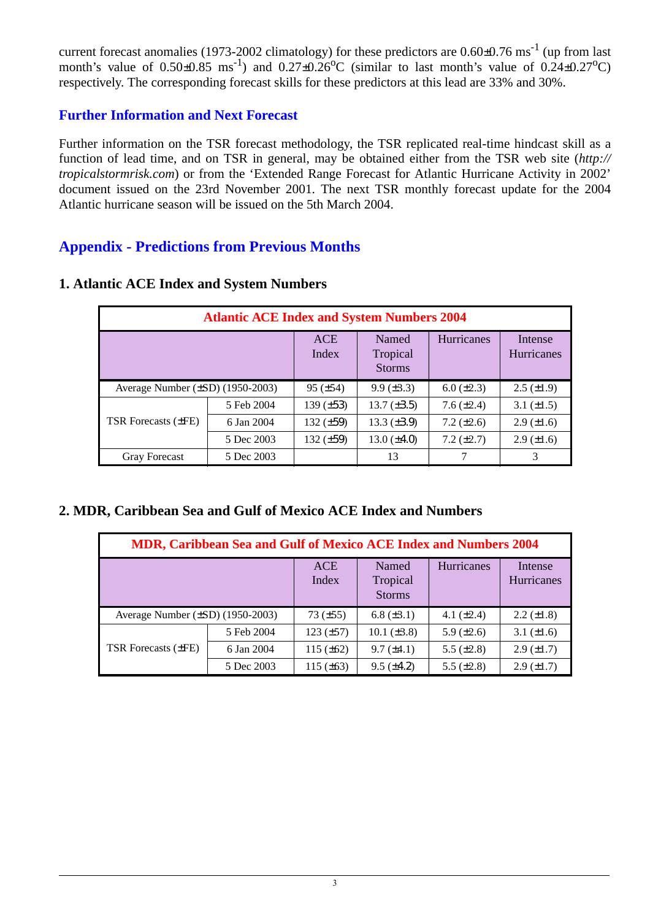current forecast anomalies (1973-2002 climatology) for these predictors are  $0.60\pm0.76$  ms<sup>-1</sup> (up from last month's value of  $0.50\pm0.85$  ms<sup>-1</sup>) and  $0.27\pm0.26$ °C (similar to last month's value of  $0.24\pm0.27$ °C) respectively. The corresponding forecast skills for these predictors at this lead are 33% and 30%.

## **Further Information and Next Forecast**

Further information on the TSR forecast methodology, the TSR replicated real-time hindcast skill as a function of lead time, and on TSR in general, may be obtained either from the TSR web site (*http:// tropicalstormrisk.com*) or from the 'Extended Range Forecast for Atlantic Hurricane Activity in 2002' document issued on the 23rd November 2001. The next TSR monthly forecast update for the 2004 Atlantic hurricane season will be issued on the 5th March 2004.

# **Appendix - Predictions from Previous Months**

| <b>Atlantic ACE Index and System Numbers 2004</b> |            |                     |                                    |                   |                              |  |  |  |
|---------------------------------------------------|------------|---------------------|------------------------------------|-------------------|------------------------------|--|--|--|
|                                                   |            | <b>ACE</b><br>Index | Named<br>Tropical<br><b>Storms</b> | <b>Hurricanes</b> | Intense<br><b>Hurricanes</b> |  |  |  |
| Average Number $(\pm SD)$ (1950-2003)             |            | $95 (\pm 54)$       | $9.9 \ (\pm 3.3)$                  | $6.0 (\pm 2.3)$   | $2.5 \ (\pm 1.9)$            |  |  |  |
|                                                   | 5 Feb 2004 | 139 $(\pm 53)$      | 13.7 $(\pm 3.5)$                   | 7.6 $(\pm 2.4)$   | 3.1 $(\pm 1.5)$              |  |  |  |
| <b>TSR Forecasts (±FE)</b>                        | 6 Jan 2004 | 132 $(\pm 59)$      | $13.3 \ (\pm 3.9)$                 | $7.2 (\pm 2.6)$   | $2.9 \ (\pm 1.6)$            |  |  |  |
|                                                   | 5 Dec 2003 | 132 $(\pm 59)$      | 13.0 $(\pm 4.0)$                   | $7.2 (\pm 2.7)$   | $2.9 \ (\pm 1.6)$            |  |  |  |
| <b>Gray Forecast</b>                              | 5 Dec 2003 |                     | 13                                 |                   | 3                            |  |  |  |

#### **1. Atlantic ACE Index and System Numbers**

## **2. MDR, Caribbean Sea and Gulf of Mexico ACE Index and Numbers**

| MDR, Caribbean Sea and Gulf of Mexico ACE Index and Numbers 2004 |            |                     |                                    |                   |                              |  |  |  |
|------------------------------------------------------------------|------------|---------------------|------------------------------------|-------------------|------------------------------|--|--|--|
|                                                                  |            | <b>ACE</b><br>Index | Named<br>Tropical<br><b>Storms</b> | <b>Hurricanes</b> | Intense<br><b>Hurricanes</b> |  |  |  |
| Average Number $(\pm SD)$ (1950-2003)                            |            | 73 $(\pm 55)$       | 6.8 $(\pm 3.1)$                    | 4.1 $(\pm 2.4)$   | $2.2 \ (\pm 1.8)$            |  |  |  |
|                                                                  | 5 Feb 2004 | $123 (\pm 57)$      | 10.1 $(\pm 3.8)$                   | 5.9 $(\pm 2.6)$   | 3.1 $(\pm 1.6)$              |  |  |  |
| <b>TSR Forecasts (±FE)</b>                                       | 6 Jan 2004 | 115 $(\pm 62)$      | $9.7 (\pm 4.1)$                    | 5.5 $(\pm 2.8)$   | $2.9 \ (\pm 1.7)$            |  |  |  |
|                                                                  | 5 Dec 2003 | 115 $(\pm 63)$      | $9.5 (\pm 4.2)$                    | 5.5 $(\pm 2.8)$   | $2.9 \ (\pm 1.7)$            |  |  |  |